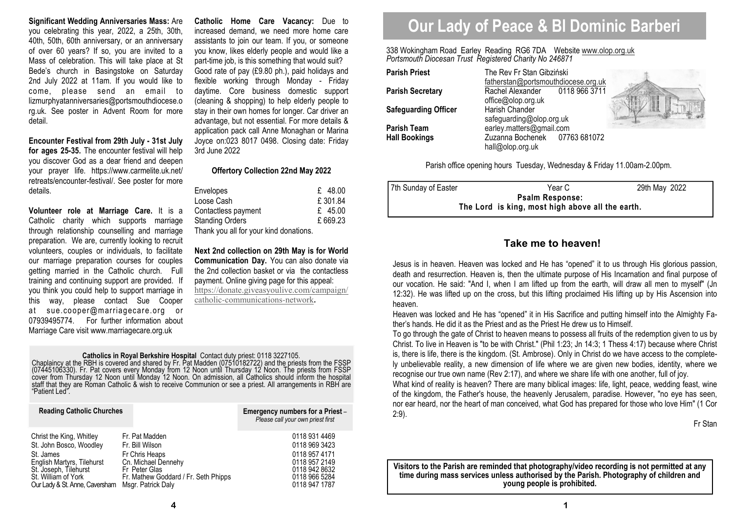**Significant Wedding Anniversaries Mass:** Are you celebrating this year, 2022, a 25th, 30th, 40th, 50th, 60th anniversary, or an anniversary of over 60 years? If so, you are invited to a Mass of celebration. This will take place at St Bede's church in Basingstoke on Saturday 2nd July 2022 at 11am. If you would like to come, please send an email to lizmurphyatanniversaries@portsmouthdiocese.o rg.uk. See poster in Advent Room for more detail.

**Encounter Festival from 29th July - 31st July for ages 25-35.** The encounter festival will help you discover God as a dear friend and deepen your prayer life. https://www.carmelite.uk.net/ retreats/encounter-festival/. See poster for more details.

**Volunteer role at Marriage Care.** It is a Catholic charity which supports marriage through relationship counselling and marriage preparation. We are, currently looking to recruit volunteers, couples or individuals, to facilitate our marriage preparation courses for couples getting married in the Catholic church. Full training and continuing support are provided. If you think you could help to support marriage in this way, please contact Sue Cooper at sue.cooper@marriagecare.org or 07939495774. For further information about Marriage Care visit www.marriagecare.org.uk

**Catholic Home Care Vacancy:** Due to increased demand, we need more home care assistants to join our team. If you, or someone you know, likes elderly people and would like a part-time job, is this something that would suit? Good rate of pay (£9.80 ph.), paid holidays and flexible working through Monday - Friday daytime. Core business domestic support (cleaning & shopping) to help elderly people to stay in their own homes for longer. Car driver an advantage, but not essential. For more details & application pack call Anne Monaghan or Marina Joyce on:023 8017 0498. Closing date: Friday 3rd June 2022

#### **Offertory Collection 22nd May 2022**

| <b>Envelopes</b>                       | $£$ 48.00 |
|----------------------------------------|-----------|
| Loose Cash                             | £301.84   |
| Contactless payment                    | £ 45.00   |
| <b>Standing Orders</b>                 | £669.23   |
| Thank you all for your kind donations. |           |

**Next 2nd collection on 29th May is for World Communication Day.** You can also donate via the 2nd collection basket or via the contactless payment. Online giving page for this appeal: https://donate.giveasyoulive.com/campaign/catholic-communications-network**.** 

# **Catholics in Royal Berkshire Hospital** Contact duty priest: 0118 3227105.<br>Chaplaincy at the RBH is covered and shared by Fr. Pat Madden (07510182722) and the priests from the FSSP (07445106330). Fr. Pat covers every Monda

| <b>Reading Catholic Churches</b> |                                      | Emergency numbers for a Priest-<br>Please call your own priest first |
|----------------------------------|--------------------------------------|----------------------------------------------------------------------|
| Christ the King, Whitley         | Fr. Pat Madden                       | 0118 931 4469                                                        |
| St. John Bosco, Woodley          | Fr. Bill Wilson                      | 0118 969 3423                                                        |
| St. James                        | Fr Chris Heaps                       | 0118 957 4171                                                        |
| English Martyrs, Tilehurst       | Cn. Michael Dennehy                  | 0118 957 2149                                                        |
| St. Joseph, Tilehurst            | Fr Peter Glas                        | 0118 942 8632                                                        |
| St. William of York              | Fr. Mathew Goddard / Fr. Seth Phipps | 0118 966 5284                                                        |
| Our Lady & St. Anne, Caversham   | Msgr. Patrick Daly                   | 0118 947 1787                                                        |

# **Our Lady of Peace & Bl Dominic Barberi**

338 Wokingham Road Earley Reading RG6 7DA Website www.olop.org.uk*Portsmouth Diocesan Trust Registered Charity No 246871* 

| <b>Parish Priest</b>        | The Rev Fr Stan Gibziński |  |
|-----------------------------|---------------------------|--|
|                             | fatherstan@portsmouthdio  |  |
| <b>Parish Secretary</b>     | Rachel Alexander<br>011   |  |
|                             | office@olop.org.uk        |  |
| <b>Safeguarding Officer</b> | Harish Chander            |  |
|                             | safeguarding@olop.org.uk  |  |
| <b>Parish Team</b>          | earley.matters@gmail.com  |  |
| <b>Hall Bookings</b>        | Zuzanna Bochenek<br>- 077 |  |
|                             | hall@olop.org.uk          |  |

**Parish Priest** The Rev Fr Stan Gibziński fatherstan@portsmouthdiocese.org.uk0118 966 3711 **Rachel Alexander** office@olop.org.uk**Harish Chander**  safeguarding@olop.org.uk 07763 681072 **Hall Bookings** Zuzanna Bochenek 07763 681072 hall@olop.org.uk



Parish office opening hours Tuesday, Wednesday & Friday 11.00am-2.00pm.

| 7th Sunday of Easter                             | Year C | 29th May 2022 |  |  |
|--------------------------------------------------|--------|---------------|--|--|
| <b>Psalm Response:</b>                           |        |               |  |  |
| The Lord is king, most high above all the earth. |        |               |  |  |

# **Take me to heaven!**

Jesus is in heaven. Heaven was locked and He has "opened" it to us through His glorious passion, death and resurrection. Heaven is, then the ultimate purpose of His Incarnation and final purpose of our vocation. He said: "And I, when I am lifted up from the earth, will draw all men to myself" (Jn 12:32). He was lifted up on the cross, but this lifting proclaimed His lifting up by His Ascension into heaven.

 Heaven was locked and He has "opened" it in His Sacrifice and putting himself into the Almighty Father's hands. He did it as the Priest and as the Priest He drew us to Himself.

 To go through the gate of Christ to heaven means to possess all fruits of the redemption given to us by Christ. To live in Heaven is "to be with Christ." (Phil 1:23; Jn 14:3; 1 Thess 4:17) because where Christ is, there is life, there is the kingdom. (St. Ambrose). Only in Christ do we have access to the completely unbelievable reality, a new dimension of life where we are given new bodies, identity, where we recognise our true own name (Rev 2:17), and where we share life with one another, full of joy.

 What kind of reality is heaven? There are many biblical images: life, light, peace, wedding feast, wine of the kingdom, the Father's house, the heavenly Jerusalem, paradise. However, "no eye has seen, nor ear heard, nor the heart of man conceived, what God has prepared for those who love Him" (1 Cor 2:9).

Fr Stan

**Visitors to the Parish are reminded that photography/video recording is not permitted at any time during mass services unless authorised by the Parish. Photography of children and young people is prohibited.**